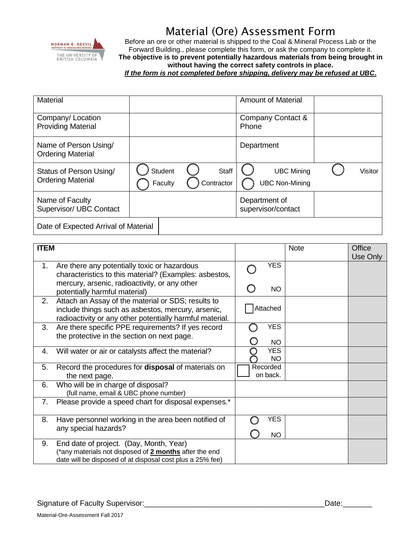

## Material (Ore) Assessment Form

Before an ore or other material is shipped to the Coal & Mineral Process Lab or the Forward Building., please complete this form, or ask the company to complete it. **The objective is to prevent potentially hazardous materials from being brought in without having the correct safety controls in place.**

*If the form is not completed before shipping, delivery may be refused at UBC***.**

| <b>Material</b>                                     |                           | <b>Amount of Material</b>                    |                              |
|-----------------------------------------------------|---------------------------|----------------------------------------------|------------------------------|
| Company/ Location<br><b>Providing Material</b>      |                           | Company Contact &<br>Phone                   |                              |
| Name of Person Using/<br><b>Ordering Material</b>   |                           | Department                                   |                              |
| Status of Person Using/<br><b>Ordering Material</b> | <b>Student</b><br>Faculty | Staff<br>Contractor<br><b>UBC Non-Mining</b> | <b>UBC Mining</b><br>Visitor |
| Name of Faculty<br>Supervisor/ UBC Contact          |                           | Department of<br>supervisor/contact          |                              |
| Date of Expected Arrival of Material                |                           |                                              |                              |

| <b>ITEM</b> |                                                                                                                                                                      |                      | <b>Note</b> | Office<br>Use Only |
|-------------|----------------------------------------------------------------------------------------------------------------------------------------------------------------------|----------------------|-------------|--------------------|
| 1.          | Are there any potentially toxic or hazardous<br>characteristics to this material? (Examples: asbestos,                                                               | <b>YES</b>           |             |                    |
|             | mercury, arsenic, radioactivity, or any other<br>potentially harmful material)                                                                                       | <b>NO</b>            |             |                    |
| 2.          | Attach an Assay of the material or SDS; results to<br>include things such as asbestos, mercury, arsenic,<br>radioactivity or any other potentially harmful material. | Attached             |             |                    |
| 3.          | Are there specific PPE requirements? If yes record<br>the protective in the section on next page.                                                                    | <b>YES</b><br>NO.    |             |                    |
| 4.          | Will water or air or catalysts affect the material?                                                                                                                  | <b>YES</b><br>NO.    |             |                    |
| 5.          | Record the procedures for <b>disposal</b> of materials on<br>the next page.                                                                                          | Recorded<br>on back. |             |                    |
| 6.          | Who will be in charge of disposal?<br>(full name, email & UBC phone number)                                                                                          |                      |             |                    |
| 7.          | Please provide a speed chart for disposal expenses.*                                                                                                                 |                      |             |                    |
| 8.          | Have personnel working in the area been notified of<br>any special hazards?                                                                                          | YES<br><b>NO</b>     |             |                    |
| 9.          | End date of project. (Day, Month, Year)<br>(*any materials not disposed of 2 months after the end<br>date will be disposed of at disposal cost plus a 25% fee)       |                      |             |                    |